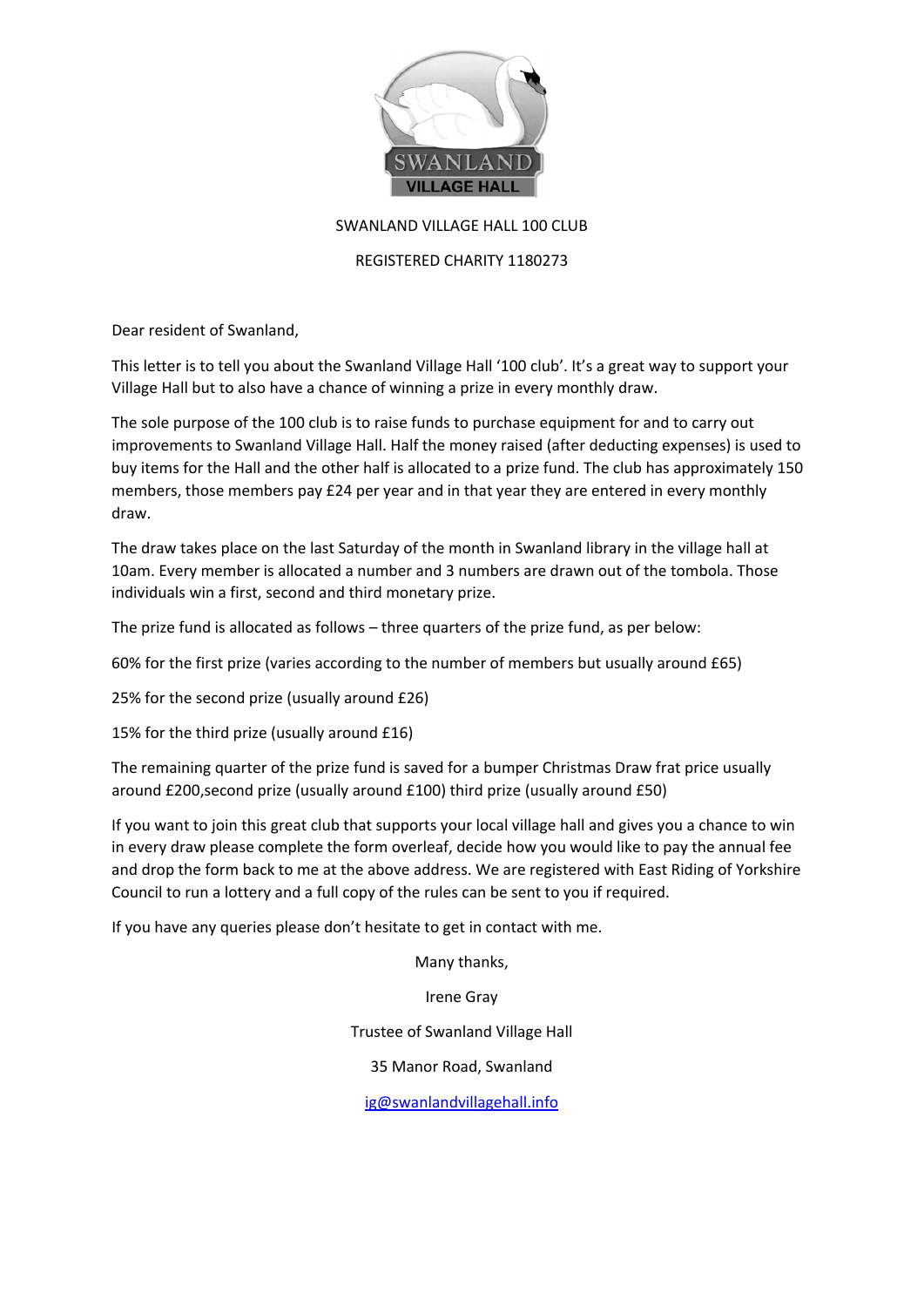

# SWANLAND VILLAGE HALL 100 CLUB

# REGISTERED CHARITY 1180273

Dear resident of Swanland,

This letter is to tell you about the Swanland Village Hall '100 club'. It's a great way to support your Village Hall but to also have a chance of winning a prize in every monthly draw.

The sole purpose of the 100 club is to raise funds to purchase equipment for and to carry out improvements to Swanland Village Hall. Half the money raised (after deducting expenses) is used to buy items for the Hall and the other half is allocated to a prize fund. The club has approximately 150 members, those members pay £24 per year and in that year they are entered in every monthly draw.

The draw takes place on the last Saturday of the month in Swanland library in the village hall at 10am. Every member is allocated a number and 3 numbers are drawn out of the tombola. Those individuals win a first, second and third monetary prize.

The prize fund is allocated as follows – three quarters of the prize fund, as per below:

60% for the first prize (varies according to the number of members but usually around £65)

25% for the second prize (usually around £26)

15% for the third prize (usually around £16)

The remaining quarter of the prize fund is saved for a bumper Christmas Draw frat price usually around £200,second prize (usually around £100) third prize (usually around £50)

If you want to join this great club that supports your local village hall and gives you a chance to win in every draw please complete the form overleaf, decide how you would like to pay the annual fee and drop the form back to me at the above address. We are registered with East Riding of Yorkshire Council to run a lottery and a full copy of the rules can be sent to you if required.

If you have any queries please don't hesitate to get in contact with me.

Many thanks,

Irene Gray

Trustee of Swanland Village Hall

35 Manor Road, Swanland

[ig@swanlandvillagehall.info](mailto:ig@swanlandvillagehall.info)